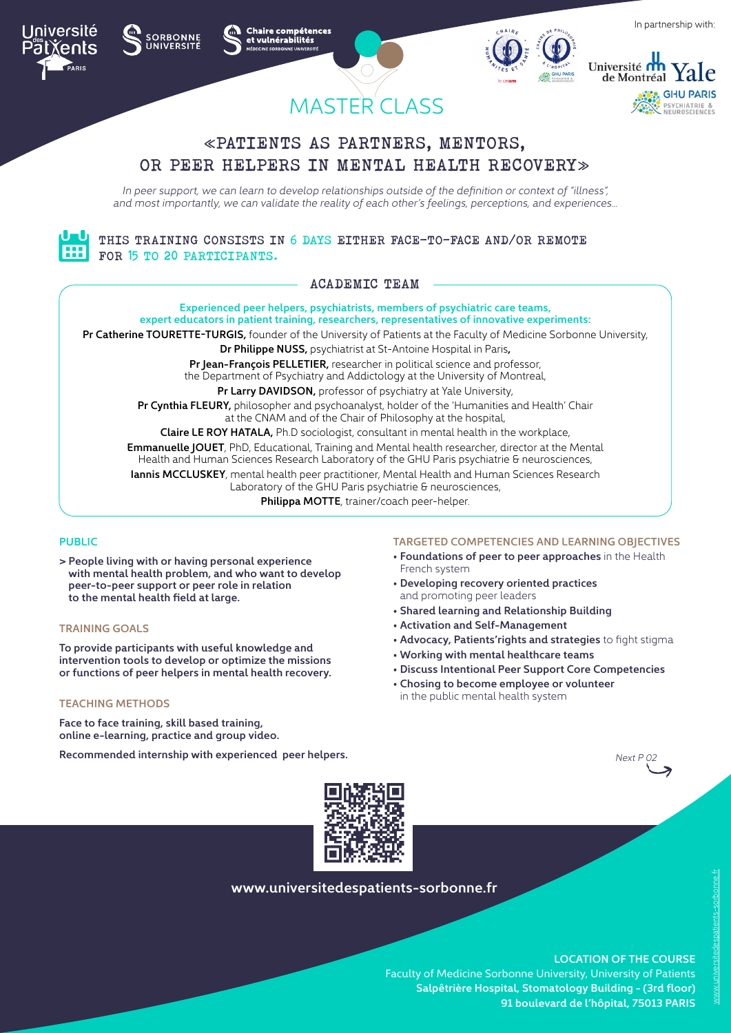











# «PATIENTS AS PARTNERS, MENTORS, OR PEER HELPERS IN MENTAL HEALTH RECOVERY»

*In peer support, we can learn to develop relationships outside of the definition or context of "illness", and most importantly, we can validate the reality of each other's feelings, perceptions, and experiences…*

THIS TRAINING CONSISTS IN 6 DAYS EITHER FACE-TO-FACE AND/OR REMOTE FOR 15 TO 20 PARTICIPANTS.

ACADEMIC TEAM

**Experienced peer helpers, psychiatrists, members of psychiatric care teams, expert educators in patient training, researchers, representatives of innovative experiments: Pr Catherine TOURETTE-TURGIS,** founder of the University of Patients at the Faculty of Medicine Sorbonne University, **Dr Philippe NUSS,** psychiatrist at St-Antoine Hospital in Paris**, Pr Jean-François PELLETIER,** researcher in political science and professor, the Department of Psychiatry and Addictology at the University of Montreal, **Pr Larry DAVIDSON,** professor of psychiatry at Yale University, **Pr Cynthia FLEURY,** philosopher and psychoanalyst, holder of the 'Humanities and Health' Chair at the CNAM and of the Chair of Philosophy at the hospital, **Claire LE ROY HATALA,** Ph.D sociologist, consultant in mental health in the workplace, **Emmanuelle JOUET**, PhD, Educational, Training and Mental health researcher, director at the Mental Health and Human Sciences Research Laboratory of the GHU Paris psychiatrie & neurosciences, **Iannis MCCLUSKEY**, mental health peer practitioner, Mental Health and Human Sciences Research Laboratory of the GHU Paris psychiatrie & neurosciences, **Philippa MOTTE**, trainer/coach peer-helper.

## **PUBLIC**

**> People living with or having personal experience with mental health problem, and who want to develop peer-to-peer support or peer role in relation to the mental health field at large.** 

#### **TRAINING GOALS**

**To provide participants with useful knowledge and intervention tools to develop or optimize the missions or functions of peer helpers in mental health recovery.**

#### **TEACHING METHODS**

**Face to face training, skill based training, online e-learning, practice and group video.**

**Recommended internship with experienced peer helpers.** 

#### **TARGETED COMPETENCIES AND LEARNING OBJECTIVES**

- **Foundations of peer to peer approaches** in the Health French system
- **Developing recovery oriented practices** and promoting peer leaders
- **Shared learning and Relationship Building**
- **Activation and Self-Management**
- **Advocacy, Patients'rights and strategies** to fight stigma
- • **Working with mental healthcare teams**
- **Discuss Intentional Peer Support Core Competencies**
- **Chosing to become employee or volunteer** in the public mental health system





## **www.universitedespatients-sorbonne.fr**

**LOCATION OF THE COURSE** 

Faculty of Medicine Sorbonne University, University of Patients **Salpêtrière Hospital, Stomatology Building - (3rd floor) 91 boulevard de l'hôpital, 75013 PARIS**